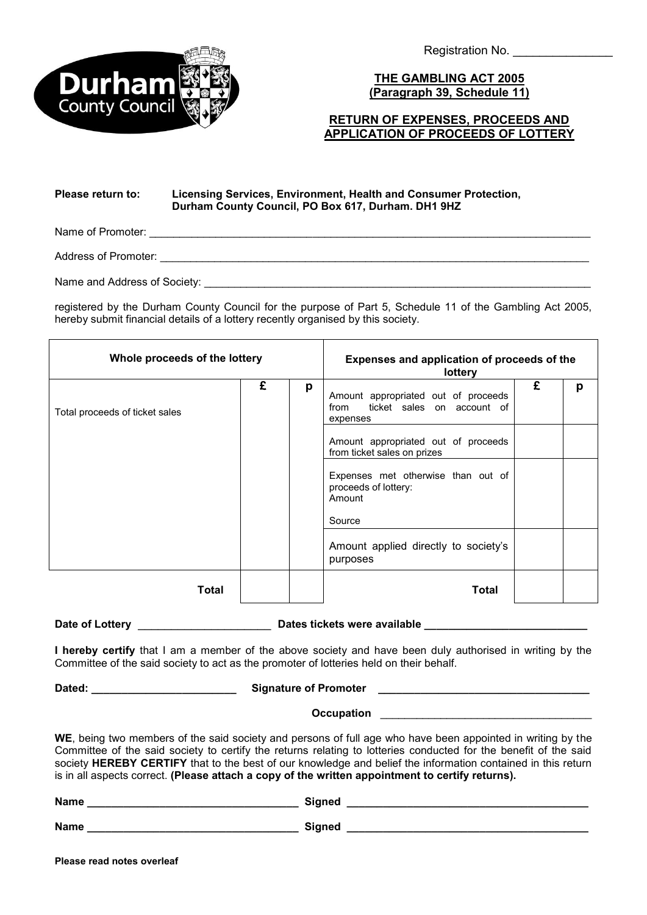

Registration No.

**THE GAMBLING ACT 2005 (Paragraph 39, Schedule 11)**

## **RETURN OF EXPENSES, PROCEEDS AND APPLICATION OF PROCEEDS OF LOTTERY**

## **Please return to: Licensing Services, Environment, Health and Consumer Protection, Durham County Council, PO Box 617, Durham. DH1 9HZ**

Name of Promoter:

Address of Promoter: \_ \_\_\_\_\_\_\_\_\_\_\_\_\_\_\_\_\_\_\_\_\_\_\_\_\_\_\_\_\_\_\_\_\_\_\_\_\_\_\_\_\_\_\_\_\_\_\_\_\_\_\_\_\_\_\_\_\_\_\_\_\_\_\_\_\_\_\_\_\_\_

\_\_\_\_\_\_\_\_\_\_\_\_\_ Name and Address of Society: \_\_\_\_\_\_\_\_\_\_\_\_\_\_\_\_\_\_\_\_\_\_\_\_\_\_\_\_\_\_\_\_\_\_\_\_\_\_\_\_\_\_\_\_\_\_\_\_\_\_\_

registered by the Durham County Council for the purpose of Part 5, Schedule 11 of the Gambling Act 2005, hereby submit financial details of a lottery recently organised by this society.

| Whole proceeds of the lottery  |   |   | Expenses and application of proceeds of the<br>lottery                                                                                                                                                                                                                                            |   |   |
|--------------------------------|---|---|---------------------------------------------------------------------------------------------------------------------------------------------------------------------------------------------------------------------------------------------------------------------------------------------------|---|---|
| Total proceeds of ticket sales | £ | p | Amount appropriated out of proceeds<br>ticket sales on account of<br>from<br>expenses<br>Amount appropriated out of proceeds<br>from ticket sales on prizes<br>Expenses met otherwise than out of<br>proceeds of lottery:<br>Amount<br>Source<br>Amount applied directly to society's<br>purposes | £ | р |
| Total                          |   |   | Total                                                                                                                                                                                                                                                                                             |   |   |

**Date of Lottery** \_\_\_\_\_\_\_\_\_\_\_\_\_\_\_\_\_\_\_\_ **Dates tickets were available \_\_\_\_\_\_\_\_\_\_\_\_\_\_\_\_\_\_\_\_\_\_\_\_\_\_\_**

**I hereby certify** that I am a member of the above society and have been duly authorised in writing by the Committee of the said society to act as the promoter of lotteries held on their behalf.

**Dated: \_\_\_\_\_\_\_\_\_\_\_\_\_\_\_\_\_\_\_\_\_\_\_\_ Signature of Promoter \_\_\_\_\_\_\_\_\_\_\_\_\_\_\_\_\_\_\_\_\_\_\_\_\_\_\_\_\_\_\_\_\_\_\_** 

**Occupation Designation** 

**WE**, being two members of the said society and persons of full age who have been appointed in writing by the Committee of the said society to certify the returns relating to lotteries conducted for the benefit of the said society **HEREBY CERTIFY** that to the best of our knowledge and belief the information contained in this return is in all aspects correct. **(Please attach a copy of the written appointment to certify returns).**

**Name \_\_\_\_\_\_\_\_\_\_\_\_\_\_\_\_\_\_\_\_\_\_\_\_\_\_\_\_\_\_\_\_\_\_\_ Signed \_\_\_\_\_\_\_\_\_\_\_\_\_\_\_\_\_\_\_\_\_\_\_\_\_\_\_\_\_\_\_\_\_\_\_\_\_\_\_\_** 

**Name \_\_\_\_\_\_\_\_\_\_\_\_\_\_\_\_\_\_\_\_\_\_\_\_\_\_\_\_\_\_\_\_\_\_\_ Signed \_\_\_\_\_\_\_\_\_\_\_\_\_\_\_\_\_\_\_\_\_\_\_\_\_\_\_\_\_\_\_\_\_\_\_\_\_\_\_\_**